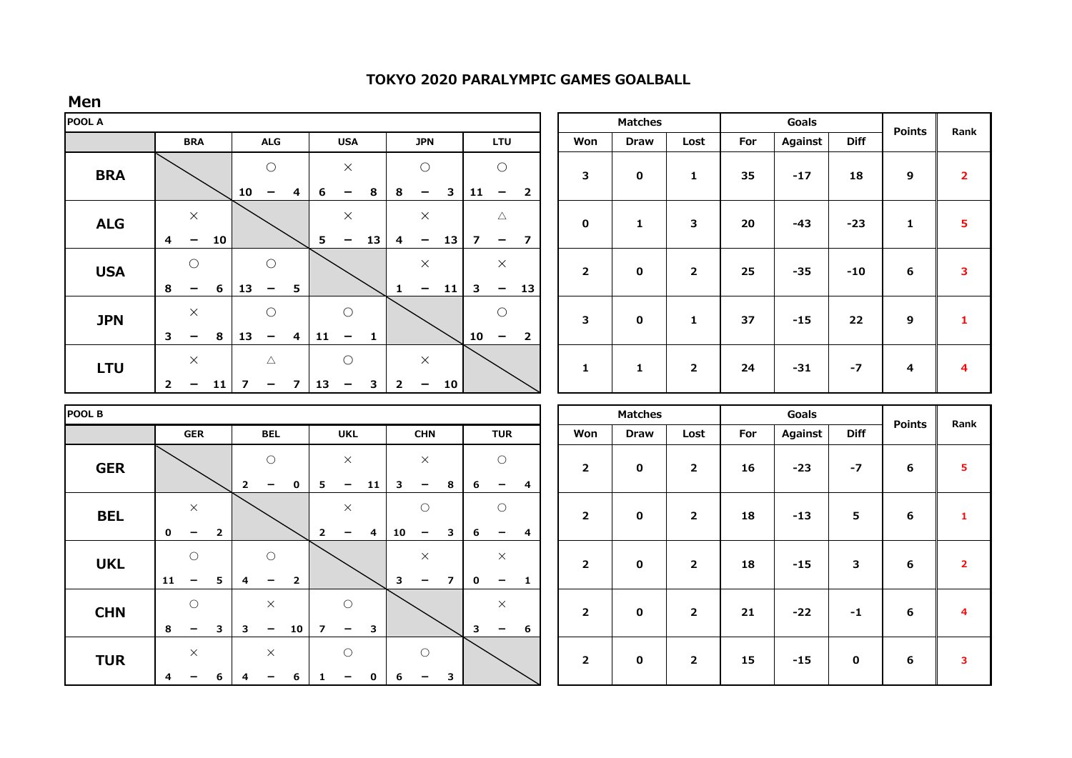| Men        |                                                                       |                |                                        |                         |                                        |                         |                         |                                        |                |                         |                                                           |                |                |                |         |             |                 |               |                         |
|------------|-----------------------------------------------------------------------|----------------|----------------------------------------|-------------------------|----------------------------------------|-------------------------|-------------------------|----------------------------------------|----------------|-------------------------|-----------------------------------------------------------|----------------|----------------|----------------|---------|-------------|-----------------|---------------|-------------------------|
| POOL A     |                                                                       |                |                                        |                         |                                        |                         |                         |                                        |                |                         |                                                           | <b>Matches</b> |                |                |         | Goals       | <b>Points</b>   |               |                         |
|            | <b>BRA</b>                                                            |                | <b>ALG</b>                             |                         | <b>USA</b>                             |                         | <b>JPN</b>              |                                        | <b>LTU</b>     |                         | Won                                                       | <b>Draw</b>    | Lost           | For            | Against | <b>Diff</b> |                 | Rank          |                         |
| <b>BRA</b> |                                                                       | 10             | $\bigcirc$                             | 6<br>4                  | $\times$<br>$\qquad \qquad$            | 8                       | 8                       | $\bigcirc$<br>$\overline{\phantom{m}}$ | 3              | 11                      | $\bigcirc$<br>$\overline{2}$<br>$\overline{\phantom{m}}$  | 3              | $\mathbf 0$    | $\mathbf{1}$   | 35      | $-17$       | 18              | 9             | $\overline{\mathbf{2}}$ |
| <b>ALG</b> | $\times$<br>$\overline{\mathbf{4}}$<br>10<br>$\overline{\phantom{m}}$ |                |                                        | 5                       | $\times$<br>$\qquad \qquad -$          | 13                      | $\overline{a}$          | $\times$<br>$\overline{\phantom{m}}$   | 13             | $\overline{\mathbf{z}}$ | $\triangle$<br>$\overline{7}$<br>$\overline{\phantom{m}}$ | $\mathbf 0$    | $\mathbf{1}$   | 3              | 20      | $-43$       | $-23$           | $\mathbf{1}$  | 5                       |
| <b>USA</b> | $\bigcirc$<br>6<br>8<br>$\overline{\phantom{m}}$                      | 13             | $\bigcirc$<br>$\overline{\phantom{m}}$ | 5                       |                                        |                         | $\mathbf{1}$            | $\times$<br>$\overline{\phantom{0}}$   | 11             | 3                       | $\times$<br>13<br>$\overline{\phantom{m}}$                | $\mathbf{2}$   | $\mathbf 0$    | $\overline{2}$ | 25      | $-35$       | $-10$           | 6             | 3                       |
| <b>JPN</b> | $\times$<br>$\overline{\mathbf{3}}$<br>8<br>$\qquad \qquad$           | 13             | $\bigcirc$<br>$\overline{\phantom{m}}$ | 11<br>$\overline{4}$    | $\bigcirc$<br>$\overline{\phantom{m}}$ | $\mathbf{1}$            |                         |                                        |                | 10                      | $\bigcirc$<br>$\overline{2}$<br>$\overline{\phantom{m}}$  | 3              | 0              | $\mathbf{1}$   | 37      | $-15$       | 22              | 9             | 1                       |
| <b>LTU</b> | $\times$                                                              |                | $\triangle$                            |                         | $\bigcirc$                             |                         |                         | $\times$                               |                |                         |                                                           | $\mathbf{1}$   | $\mathbf{1}$   | $\overline{2}$ | 24      | $-31$       | $-7$            | 4             | 4                       |
|            | $\overline{2}$<br>11<br>$-$                                           | $\overline{7}$ | $\qquad \qquad -$                      | 13<br>$\overline{7}$    | $\overline{\phantom{a}}$               | $\overline{\mathbf{3}}$ | $\overline{2}$          | $\overline{\phantom{m}}$               | 10             |                         |                                                           |                |                |                |         |             |                 |               |                         |
| POOL B     |                                                                       |                |                                        |                         |                                        |                         |                         |                                        |                |                         |                                                           |                | <b>Matches</b> |                |         | Goals       |                 |               |                         |
|            | <b>GER</b>                                                            |                | <b>BEL</b>                             |                         | <b>UKL</b>                             |                         |                         | <b>CHN</b>                             |                |                         | <b>TUR</b>                                                | Won            | <b>Draw</b>    | Lost           | For     | Against     | <b>Diff</b>     | <b>Points</b> | Rank                    |
| <b>GER</b> |                                                                       | $\overline{2}$ | $\circ$<br>$\overline{\phantom{0}}$    | $\mathbf 0$<br>5        | $\times$<br>$-$                        | 11                      | 3                       | $\times$<br>$\overline{\phantom{m}}$   | 8              | 6                       | $\circ$<br>4<br>$\overline{\phantom{a}}$                  | $\mathbf{2}$   | $\mathbf 0$    | $\overline{2}$ | 16      | $-23$       | $-7$            | 6             | 5                       |
| <b>BEL</b> | $\times$<br>$\mathbf 0$<br>$\qquad \qquad -$                          | $\mathbf{2}$   |                                        | $\overline{2}$          | $\times$<br>$\overline{\phantom{0}}$   | 4                       | 10                      | $\bigcirc$<br>$\overline{\phantom{m}}$ | 3              | 6                       | $\bigcirc$<br>4<br>$\overline{\phantom{m}}$               | $\mathbf{2}$   | $\mathbf 0$    | $\overline{2}$ | 18      | $-13$       | $5\phantom{.0}$ | 6             | $\mathbf{1}$            |
| <b>UKL</b> | $\bigcirc$<br>11<br>$\overline{\phantom{0}}$                          | 5<br>4         | $\bigcirc$<br>-                        | $\overline{\mathbf{2}}$ |                                        |                         | $\overline{\mathbf{3}}$ | $\times$<br>$\overline{\phantom{0}}$   | $\overline{7}$ | $\mathbf 0$             | $\times$<br>$\overline{\phantom{0}}$<br>$\mathbf{1}$      | $\mathbf{2}$   | $\mathbf 0$    | $\overline{2}$ | 18      | $-15$       | 3               | 6             | $\overline{2}$          |
| <b>CHN</b> | $\circ$<br>8<br>3<br>$\overline{\phantom{0}}$                         | 3              | $\times$<br>$\overline{\phantom{0}}$   | 10<br>$\overline{7}$    | $\bigcirc$<br>$\overline{\phantom{m}}$ | 3                       |                         |                                        |                | $\overline{\mathbf{3}}$ | $\times$<br>6<br>-                                        | $\overline{2}$ | $\mathbf 0$    | $\overline{2}$ | 21      | $-22$       | $-1$            | 6             | 4                       |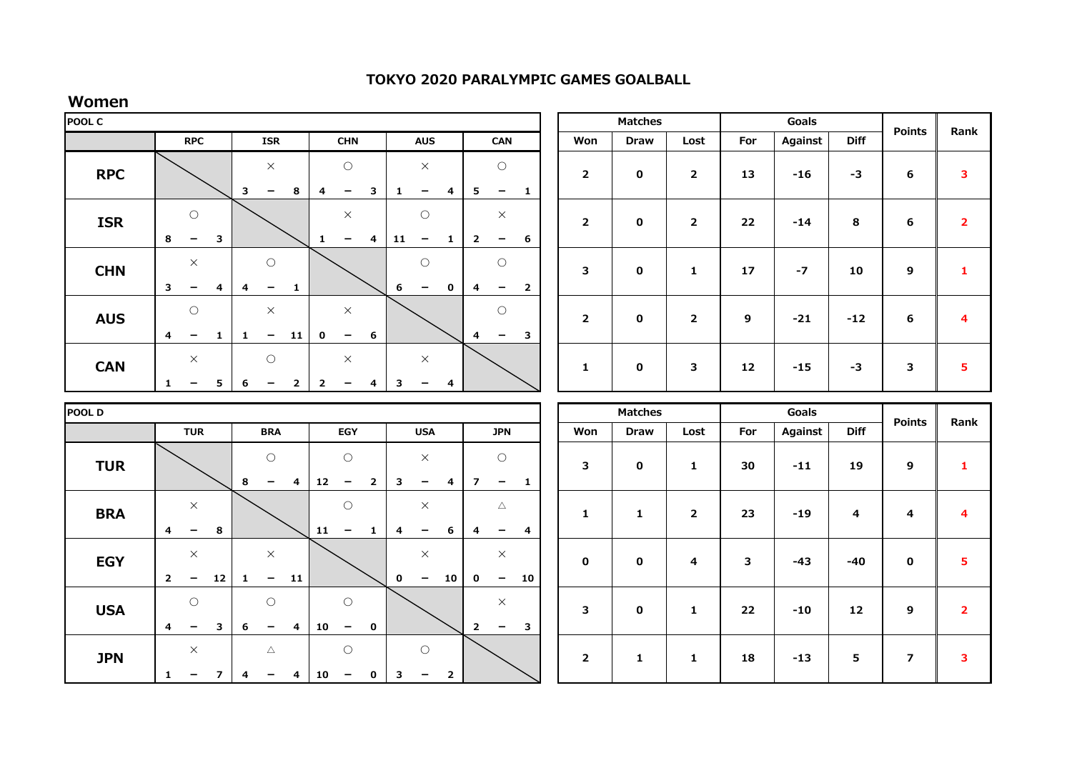# **Women**

| POOL C     |                         |                                            |              |              |                                                      |                |                                             |                                            |              |              |                                                    | <b>Matches</b> |                          |                                               | Goals          | <b>Points</b>  | Rank             |                      |           |                  |                   |                  |                         |
|------------|-------------------------|--------------------------------------------|--------------|--------------|------------------------------------------------------|----------------|---------------------------------------------|--------------------------------------------|--------------|--------------|----------------------------------------------------|----------------|--------------------------|-----------------------------------------------|----------------|----------------|------------------|----------------------|-----------|------------------|-------------------|------------------|-------------------------|
|            |                         | <b>RPC</b>                                 |              |              | <b>ISR</b>                                           |                | <b>CHN</b>                                  |                                            | <b>AUS</b>   |              | CAN                                                |                | Won                      | <b>Draw</b>                                   | Lost           | For            | Against          | <b>Diff</b>          |           |                  |                   |                  |                         |
| <b>RPC</b> |                         |                                            |              | 3            | $\times$<br>8<br>$\qquad \qquad \blacksquare$        |                | $\bigcirc$<br>4<br>$\overline{\phantom{m}}$ |                                            | 3            | 1            | $\times$<br>-                                      | 4              | 5                        | $\bigcirc$<br>$\overline{\phantom{a}}$        | $\mathbf{1}$   | $\overline{2}$ | $\mathbf 0$      | $\overline{2}$       | 13        | $-16$            | $-3$              | 6                | 3                       |
| <b>ISR</b> | 8                       | $\bigcirc$<br>$\qquad \qquad \blacksquare$ | $\mathbf{3}$ |              |                                                      |                | $\mathbf{1}$                                | $\times$<br>$\qquad \qquad$                | 4            | 11           | $\bigcirc$<br>$\qquad \qquad -$                    | $\mathbf{1}$   | $\overline{2}$           | $\times$<br>$\qquad \qquad -$                 | 6              | $\overline{2}$ | $\mathbf 0$      | $\overline{2}$       | 22        | $-14$            | 8                 | 6                | $\overline{2}$          |
| <b>CHN</b> | 3                       | $\times$<br>-                              | 4            | 4            | $\bigcirc$<br>$\overline{\phantom{m}}$               | $\mathbf{1}$   |                                             |                                            |              | 6            | $\bigcirc$<br>$\qquad \qquad \blacksquare$         | 0              | 4                        | $\bigcirc$<br>$\overline{\phantom{m}}$        | $\overline{2}$ | 3              | 0                | 1                    | 17        | $-7$             | 10                | $\boldsymbol{9}$ | $\mathbf{1}$            |
| <b>AUS</b> | 4                       | $\bigcirc$<br>$\qquad \qquad -$            | 1            | $\mathbf{1}$ | $\times$<br>$\qquad \qquad -$                        | 11             | $\mathbf{o}$                                | $\times$<br>$\overline{\phantom{m}}$       | 6            |              |                                                    |                | $\overline{4}$           | $\bigcirc$<br>$\qquad \qquad -$               | 3              | $\overline{2}$ | $\mathbf 0$      | $\overline{2}$       | 9         | $-21$            | $-12$             | 6                | $\overline{\mathbf{4}}$ |
| <b>CAN</b> | $\mathbf{1}$            | $\times$<br>$\overline{\phantom{a}}$       | 5            | 6            | $\circ$<br>$\overline{\phantom{a}}$                  | $\overline{2}$ | $\overline{2}$                              | $\times$<br>$\overline{\phantom{m}}$       | 4            | 3            | $\times$<br>-                                      | 4              |                          |                                               |                | $\mathbf{1}$   | 0                | 3                    | 12        | $-15$            | $-3$              | 3                | $\overline{\mathbf{5}}$ |
|            |                         |                                            |              |              |                                                      |                |                                             |                                            |              |              |                                                    |                |                          |                                               |                |                |                  |                      |           |                  |                   |                  |                         |
|            |                         |                                            |              |              |                                                      |                |                                             |                                            |              |              |                                                    |                |                          |                                               |                |                |                  |                      |           |                  |                   |                  |                         |
| POOL D     |                         |                                            |              |              |                                                      |                |                                             |                                            |              |              |                                                    |                |                          |                                               |                |                | <b>Matches</b>   |                      |           | Goals            |                   | <b>Points</b>    | Rank                    |
| <b>TUR</b> |                         | <b>TUR</b>                                 |              | 8            | <b>BRA</b><br>$\bigcirc$<br>$\overline{\phantom{a}}$ | 4              | 12                                          | EGY<br>$\circ$<br>$\overline{\phantom{m}}$ | $\mathbf{2}$ | 3            | <b>USA</b><br>$\times$<br>$\overline{\phantom{m}}$ | 4              | $\overline{\phantom{a}}$ | <b>JPN</b><br>$\bigcirc$<br>$\qquad \qquad -$ | $\mathbf{1}$   | Won<br>3       | <b>Draw</b><br>0 | Lost<br>$\mathbf{1}$ | For<br>30 | Against<br>$-11$ | <b>Diff</b><br>19 | 9                | $\mathbf{1}$            |
| <b>BRA</b> | 4                       | $\times$<br>$\qquad \qquad -$              | 8            |              |                                                      |                | 11                                          | $\circ$<br>$\overline{\phantom{m}}$        | $\mathbf{1}$ | 4            | $\times$<br>$\overline{\phantom{m}}$               | 6              | 4                        | Δ<br>$\overline{\phantom{m}}$                 | 4              | 1              | $\mathbf{1}$     | $\overline{2}$       | 23        | $-19$            | 4                 | 4                | 4                       |
| <b>EGY</b> | $\overline{\mathbf{2}}$ | $\times$<br>$\overline{\phantom{m}}$       | 12           | 1            | $\times$<br>$\overline{\phantom{m}}$                 | 11             |                                             |                                            |              | $\mathbf{o}$ | $\times$<br>$\overline{\phantom{a}}$               | 10             | $\mathbf{o}$             | $\times$<br>$\overline{\phantom{m}}$          | 10             | 0              | 0                | 4                    | 3         | $-43$            | $-40$             | $\bf{0}$         | $\overline{\mathbf{5}}$ |
| <b>USA</b> | $\overline{4}$          | $\bigcirc$<br>$\qquad \qquad -$            | 3            | 6            | $\bigcirc$<br>$\qquad \qquad \blacksquare$           | 4              | 10                                          | $\bigcirc$<br>$\qquad \qquad -$            | 0            |              |                                                    |                | $\overline{2}$           | $\times$<br>$\qquad \qquad -$                 | 3              | 3              | 0                | $\mathbf{1}$         | 22        | $-10$            | 12                | 9                | $\overline{2}$          |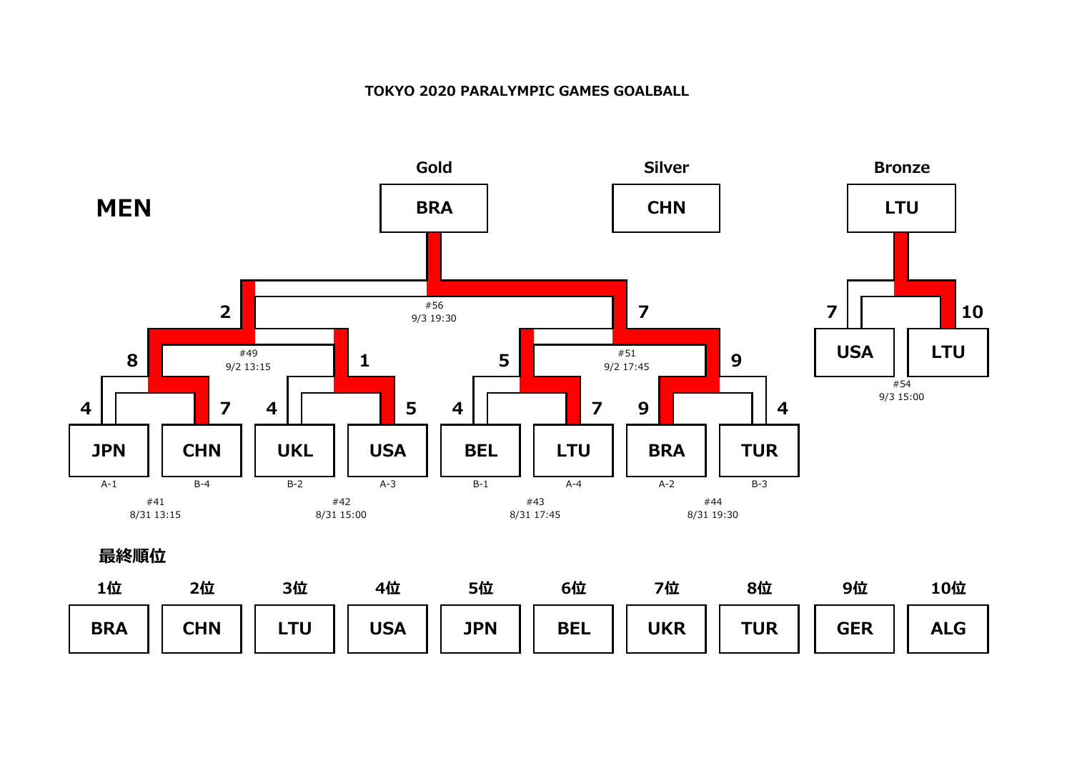